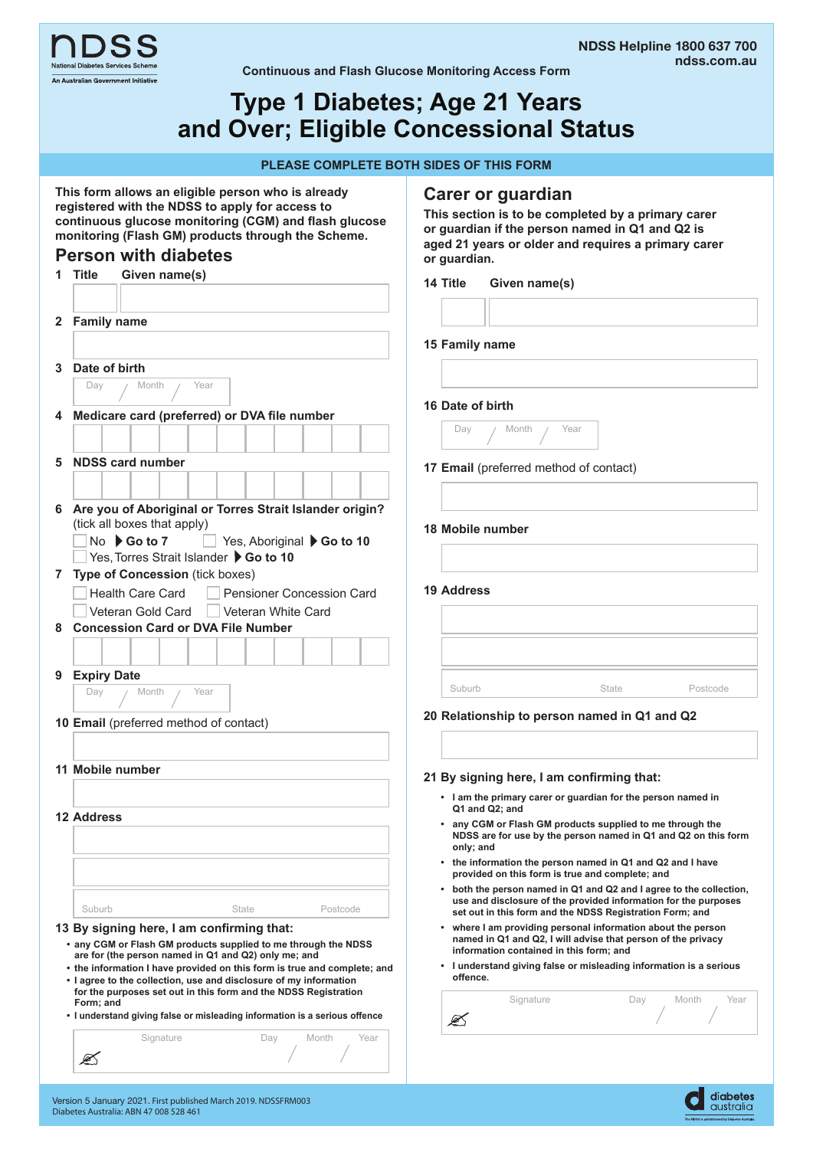



**Continuous and Flash Glucose Monitoring Access Form** 

# **Type 1 Diabetes; Age 21 Years and Over; Eligible Concessional Status**

#### **PLEASE COMPLETE BOTH SIDES OF THIS FORM**

**Carer or guardian**

**This section is to be completed by a primary carer or guardian if the person named in Q1 and Q2 is aged 21 years or older and requires a primary carer** 

**This form allows an eligible person who is already registered with the NDSS to apply for access to continuous glucose monitoring (CGM) and flash glucose monitoring (Flash GM) products through the Scheme.** 

### **Person with diabetes**

|   | <b>Person with diabetes</b>                                                                                                      |          | or guardian.      |                                         |                                                                                                                        |                                                                     |
|---|----------------------------------------------------------------------------------------------------------------------------------|----------|-------------------|-----------------------------------------|------------------------------------------------------------------------------------------------------------------------|---------------------------------------------------------------------|
|   | <b>Title</b><br>Given name(s)                                                                                                    | 14 Title |                   | Given name(s)                           |                                                                                                                        |                                                                     |
|   |                                                                                                                                  |          |                   |                                         |                                                                                                                        |                                                                     |
| 2 | <b>Family name</b>                                                                                                               |          |                   |                                         |                                                                                                                        |                                                                     |
|   |                                                                                                                                  |          | 15 Family name    |                                         |                                                                                                                        |                                                                     |
| 3 | Date of birth                                                                                                                    |          |                   |                                         |                                                                                                                        |                                                                     |
|   | Year<br>Day<br>Month                                                                                                             |          |                   |                                         |                                                                                                                        |                                                                     |
|   | 4 Medicare card (preferred) or DVA file number                                                                                   |          | 16 Date of birth  |                                         |                                                                                                                        |                                                                     |
|   |                                                                                                                                  |          | Day               | Month                                   | Year                                                                                                                   |                                                                     |
|   |                                                                                                                                  |          |                   |                                         |                                                                                                                        |                                                                     |
| 5 | <b>NDSS card number</b>                                                                                                          |          |                   |                                         | 17 Email (preferred method of contact)                                                                                 |                                                                     |
|   |                                                                                                                                  |          |                   |                                         |                                                                                                                        |                                                                     |
|   | 6 Are you of Aboriginal or Torres Strait Islander origin?                                                                        |          |                   |                                         |                                                                                                                        |                                                                     |
|   | (tick all boxes that apply)<br>$No \rightarrow Go$ to 7<br>Yes, Aboriginal Go to 10                                              |          |                   | 18 Mobile number                        |                                                                                                                        |                                                                     |
|   | Yes, Torres Strait Islander ▶ Go to 10                                                                                           |          |                   |                                         |                                                                                                                        |                                                                     |
|   | 7 Type of Concession (tick boxes)                                                                                                |          |                   |                                         |                                                                                                                        |                                                                     |
|   | <b>Health Care Card</b><br>Pensioner Concession Card                                                                             |          | <b>19 Address</b> |                                         |                                                                                                                        |                                                                     |
|   | Veteran Gold Card<br>  Veteran White Card                                                                                        |          |                   |                                         |                                                                                                                        |                                                                     |
| 8 | <b>Concession Card or DVA File Number</b>                                                                                        |          |                   |                                         |                                                                                                                        |                                                                     |
|   |                                                                                                                                  |          |                   |                                         |                                                                                                                        |                                                                     |
| 9 | <b>Expiry Date</b>                                                                                                               |          |                   |                                         |                                                                                                                        |                                                                     |
|   | Month<br>Year<br>Day                                                                                                             |          | Suburb            |                                         | State                                                                                                                  | Postcode                                                            |
|   | 10 Email (preferred method of contact)                                                                                           |          |                   |                                         | 20 Relationship to person named in Q1 and Q2                                                                           |                                                                     |
|   |                                                                                                                                  |          |                   |                                         |                                                                                                                        |                                                                     |
|   |                                                                                                                                  |          |                   |                                         |                                                                                                                        |                                                                     |
|   | 11 Mobile number                                                                                                                 |          |                   |                                         | 21 By signing here, I am confirming that:                                                                              |                                                                     |
|   |                                                                                                                                  |          |                   | Q1 and Q2: and                          | • I am the primary carer or guardian for the person named in                                                           |                                                                     |
|   | <b>12 Address</b>                                                                                                                |          |                   |                                         | • any CGM or Flash GM products supplied to me through the                                                              |                                                                     |
|   |                                                                                                                                  |          | only; and         |                                         |                                                                                                                        | NDSS are for use by the person named in Q1 and Q2 on this form      |
|   |                                                                                                                                  |          |                   |                                         | the information the person named in Q1 and Q2 and I have                                                               |                                                                     |
|   |                                                                                                                                  |          |                   |                                         | provided on this form is true and complete; and                                                                        | • both the person named in Q1 and Q2 and I agree to the collection, |
|   | Suburb<br><b>State</b><br>Postcode                                                                                               |          |                   |                                         | use and disclosure of the provided information for the purposes                                                        |                                                                     |
|   | 13 By signing here, I am confirming that:                                                                                        |          |                   |                                         | set out in this form and the NDSS Registration Form; and<br>where I am providing personal information about the person |                                                                     |
|   | • any CGM or Flash GM products supplied to me through the NDSS                                                                   |          |                   |                                         | named in Q1 and Q2, I will advise that person of the privacy                                                           |                                                                     |
|   | are for (the person named in Q1 and Q2) only me; and<br>• the information I have provided on this form is true and complete; and |          |                   | information contained in this form; and | • I understand giving false or misleading information is a serious                                                     |                                                                     |
|   | . I agree to the collection, use and disclosure of my information                                                                |          | offence.          |                                         |                                                                                                                        |                                                                     |
|   | for the purposes set out in this form and the NDSS Registration<br>Form: and                                                     |          |                   | Signature                               | Day                                                                                                                    | Month<br>Year                                                       |
|   | • I understand giving false or misleading information is a serious offence                                                       |          | ØŚ                |                                         |                                                                                                                        |                                                                     |
|   | Signature<br>Month<br>Year<br>Day                                                                                                |          |                   |                                         |                                                                                                                        |                                                                     |
|   | Ø                                                                                                                                |          |                   |                                         |                                                                                                                        |                                                                     |

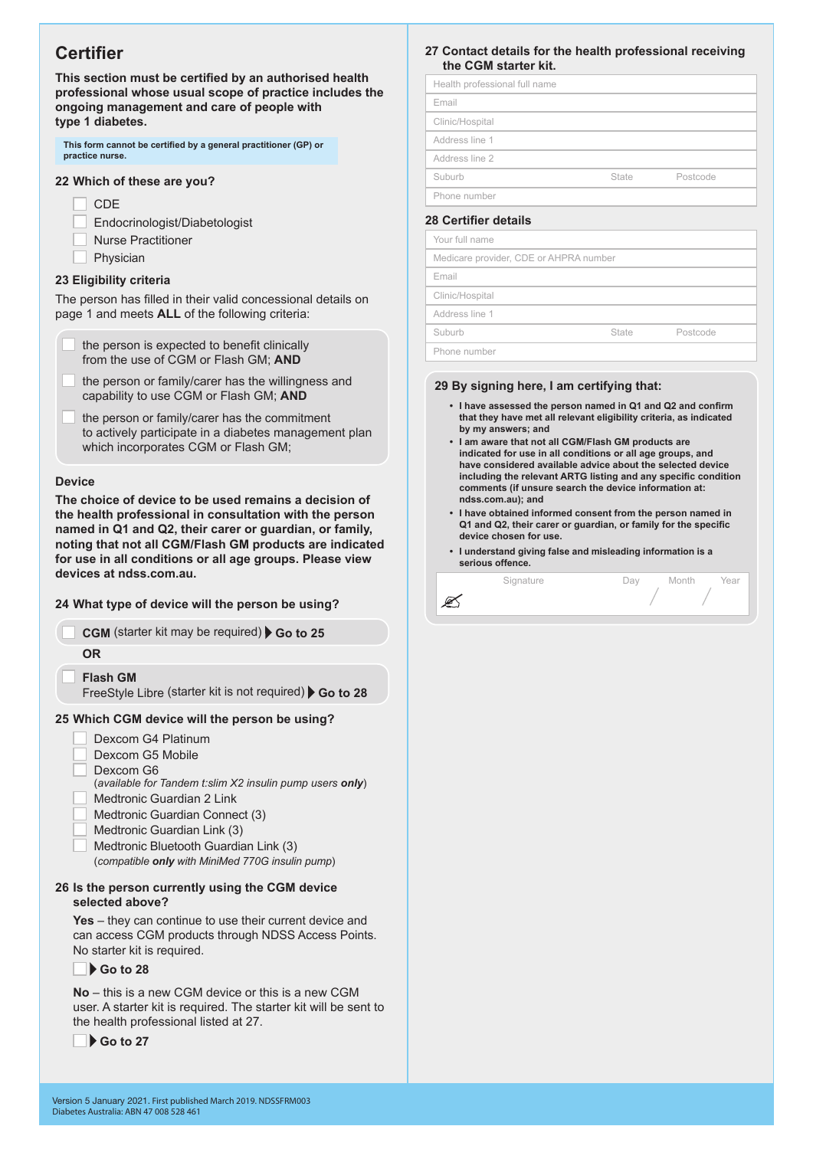## **Certifier**

**This section must be certified by an authorised health professional whose usual scope of practice includes the ongoing management and care of people with type 1 diabetes.** 

| This form cannot be certified by a general practitioner (GP) or |  |
|-----------------------------------------------------------------|--|
| practice nurse.                                                 |  |

#### **22 Which of these are you?**

**CDE** 

Endocrinologist/Diabetologist Nurse Practitioner Physician

#### **23 Eligibility criteria**

The person has filled in their valid concessional details on page 1 and meets **ALL** of the following criteria:

| the person is expected to benefit clinically |
|----------------------------------------------|
| from the use of CGM or Flash GM; AND         |

the person or family/carer has the willingness and capability to use CGM or Flash GM; **AND**

the person or family/carer has the commitment to actively participate in a diabetes management plan which incorporates CGM or Flash GM;

#### **Device**

**The choice of device to be used remains a decision of the health professional in consultation with the person named in Q1 and Q2, their carer or guardian, or family, noting that not all CGM/Flash GM products are indicated for use in all conditions or all age groups. Please view devices at ndss.com.au.** 

#### **24 What type of device will the person be using?**

**CGM** (starter kit may be required) Go to 25 **OR Flash GM**

FreeStyle Libre (starter kit is not required) Go to 28

#### **25 Which CGM device will the person be using?**

- Dexcom G4 Platinum
- Dexcom G5 Mobile
- Dexcom G6
- (*available for Tandem t:slim X2 insulin pump users only*)
- Medtronic Guardian 2 Link
- Medtronic Guardian Connect (3)
- Medtronic Guardian Link (3)
- Medtronic Bluetooth Guardian Link (3)

(*compatible only with MiniMed 770G insulin pump*)

#### **26 Is the person currently using the CGM device selected above?**

**Yes** – they can continue to use their current device and can access CGM products through NDSS Access Points. No starter kit is required.

#### **Go to 28**

**No** – this is a new CGM device or this is a new CGM user. A starter kit is required. The starter kit will be sent to the health professional listed at 27.

**Go to 27** 

#### **27 Contact details for the health professional receiving the CGM starter kit.**

| Health professional full name |       |          |
|-------------------------------|-------|----------|
| Email                         |       |          |
| Clinic/Hospital               |       |          |
| Address line 1                |       |          |
| Address line 2                |       |          |
| Suburb                        | State | Postcode |
| Phone number                  |       |          |

#### **28 Certifier details**

Your full name Medicare provider, CDE or AHPRA number Email Clinic/Hospital Address line 1 Suburb State Postcode Phone number

#### **29 By signing here, I am certifying that:**

- **• I have assessed the person named in Q1 and Q2 and confirm that they have met all relevant eligibility criteria, as indicated by my answers; and**
- **• I am aware that not all CGM/Flash GM products are indicated for use in all conditions or all age groups, and have considered available advice about the selected device including the relevant ARTG listing and any specific condition comments (if unsure search the device information at: ndss.com.au); and**
- **• I have obtained informed consent from the person named in Q1 and Q2, their carer or guardian, or family for the specific device chosen for use.**
- **• I understand giving false and misleading information is a serious offence.**

|   | Signature | )av | Month | Year |
|---|-----------|-----|-------|------|
| Ł |           |     |       |      |